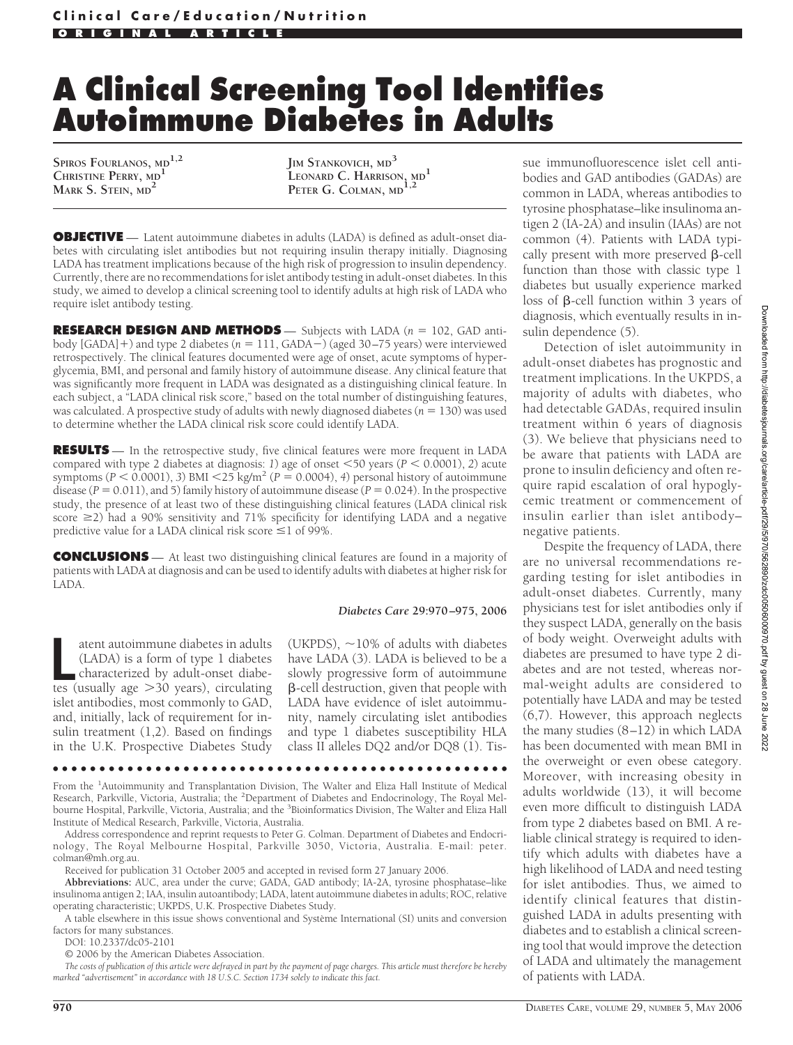# **A Clinical Screening Tool Identifies Autoimmune Diabetes in Adults**

**SPIROS FOURLANOS, MD1,2 CHRISTINE PERRY, MD<sup>1</sup> MARK S. STEIN, MD<sup>2</sup>**

**JIM STANKOVICH, MD<sup>3</sup> LEONARD C. HARRISON, MD<sup>1</sup> PETER G. COLMAN, MD1,2**

**OBJECTIVE** — Latent autoimmune diabetes in adults (LADA) is defined as adult-onset diabetes with circulating islet antibodies but not requiring insulin therapy initially. Diagnosing LADA has treatment implications because of the high risk of progression to insulin dependency. Currently, there are no recommendations for islet antibody testing in adult-onset diabetes. In this study, we aimed to develop a clinical screening tool to identify adults at high risk of LADA who require islet antibody testing.

**RESEARCH DESIGN AND METHODS** — Subjects with LADA (*n* = 102, GAD antibody [GADA]-) and type 2 diabetes (*n* 111, GADA) (aged 30–75 years) were interviewed retrospectively. The clinical features documented were age of onset, acute symptoms of hyperglycemia, BMI, and personal and family history of autoimmune disease. Any clinical feature that was significantly more frequent in LADA was designated as a distinguishing clinical feature. In each subject, a "LADA clinical risk score," based on the total number of distinguishing features, was calculated. A prospective study of adults with newly diagnosed diabetes ( $n = 130$ ) was used to determine whether the LADA clinical risk score could identify LADA.

**RESULTS** — In the retrospective study, five clinical features were more frequent in LADA compared with type 2 diabetes at diagnosis: *1*) age of onset  $\leq$  50 years (*P*  $\leq$  0.0001), *2*) acute symptoms  $(P < 0.0001)$ , 3) BMI  $\langle 25 \text{ kg/m}^2 (P = 0.0004)$ , 4) personal history of autoimmune disease ( $P = 0.011$ ), and 5) family history of autoimmune disease ( $P = 0.024$ ). In the prospective study, the presence of at least two of these distinguishing clinical features (LADA clinical risk score  $\geq$ 2) had a 90% sensitivity and 71% specificity for identifying LADA and a negative predictive value for a LADA clinical risk score  $\leq$ 1 of 99%.

**CONCLUSIONS** — At least two distinguishing clinical features are found in a majority of patients with LADA at diagnosis and can be used to identify adults with diabetes at higher risk for LADA.

#### *Diabetes Care* **29:970 –975, 2006**

atent autoimmune diabetes in adults<br>(LADA) is a form of type 1 diabetes<br>characterized by adult-onset diabe-<br>tes (usually age >30 years), circulating atent autoimmune diabetes in adults (LADA) is a form of type 1 diabetes characterized by adult-onset diabeislet antibodies, most commonly to GAD, and, initially, lack of requirement for insulin treatment (1,2). Based on findings in the U.K. Prospective Diabetes Study

(UKPDS),  $\sim$ 10% of adults with diabetes have LADA (3). LADA is believed to be a slowly progressive form of autoimmune -cell destruction, given that people with LADA have evidence of islet autoimmunity, namely circulating islet antibodies and type 1 diabetes susceptibility HLA class II alleles DQ2 and/or DQ8 (1). Tis-

From the <sup>1</sup>Autoimmunity and Transplantation Division, The Walter and Eliza Hall Institute of Medical Research, Parkville, Victoria, Australia; the <sup>2</sup>Department of Diabetes and Endocrinology, The Royal Melbourne Hospital, Parkville, Victoria, Australia; and the <sup>3</sup>Bioinformatics Division, The Walter and Eliza Hall Institute of Medical Research, Parkville, Victoria, Australia.

●●●●●●●●●●●●●●●●●●●●●●●●●●●●●●●●●●●●●●●●●●●●●●●●●

Address correspondence and reprint requests to Peter G. Colman. Department of Diabetes and Endocrinology, The Royal Melbourne Hospital, Parkville 3050, Victoria, Australia. E-mail: peter. colman@mh.org.au.

Received for publication 31 October 2005 and accepted in revised form 27 January 2006.

**Abbreviations:** AUC, area under the curve; GADA, GAD antibody; IA-2A, tyrosine phosphatase–like insulinoma antigen 2; IAA, insulin autoantibody; LADA, latent autoimmune diabetes in adults; ROC, relative operating characteristic; UKPDS, U.K. Prospective Diabetes Study.

A table elsewhere in this issue shows conventional and Système International (SI) units and conversion factors for many substances.

DOI: 10.2337/dc05-2101

© 2006 by the American Diabetes Association.

*The costs of publication of this article were defrayed in part by the payment of page charges. This article must therefore be hereby marked "advertisement" in accordance with 18 U.S.C. Section 1734 solely to indicate this fact.*

sue immunofluorescence islet cell antibodies and GAD antibodies (GADAs) are common in LADA, whereas antibodies to tyrosine phosphatase–like insulinoma antigen 2 (IA-2A) and insulin (IAAs) are not common (4). Patients with LADA typically present with more preserved  $\beta$ -cell function than those with classic type 1 diabetes but usually experience marked loss of  $\beta$ -cell function within 3 years of diagnosis, which eventually results in insulin dependence (5).

Detection of islet autoimmunity in adult-onset diabetes has prognostic and treatment implications. In the UKPDS, a majority of adults with diabetes, who had detectable GADAs, required insulin treatment within 6 years of diagnosis (3). We believe that physicians need to be aware that patients with LADA are prone to insulin deficiency and often require rapid escalation of oral hypoglycemic treatment or commencement of insulin earlier than islet antibody– negative patients.

Despite the frequency of LADA, there are no universal recommendations regarding testing for islet antibodies in adult-onset diabetes. Currently, many physicians test for islet antibodies only if they suspect LADA, generally on the basis of body weight. Overweight adults with diabetes are presumed to have type 2 diabetes and are not tested, whereas normal-weight adults are considered to potentially have LADA and may be tested (6,7). However, this approach neglects the many studies (8–12) in which LADA has been documented with mean BMI in the overweight or even obese category. Moreover, with increasing obesity in adults worldwide (13), it will become even more difficult to distinguish LADA from type 2 diabetes based on BMI. A reliable clinical strategy is required to identify which adults with diabetes have a high likelihood of LADA and need testing for islet antibodies. Thus, we aimed to identify clinical features that distinguished LADA in adults presenting with diabetes and to establish a clinical screening tool that would improve the detection of LADA and ultimately the management of patients with LADA.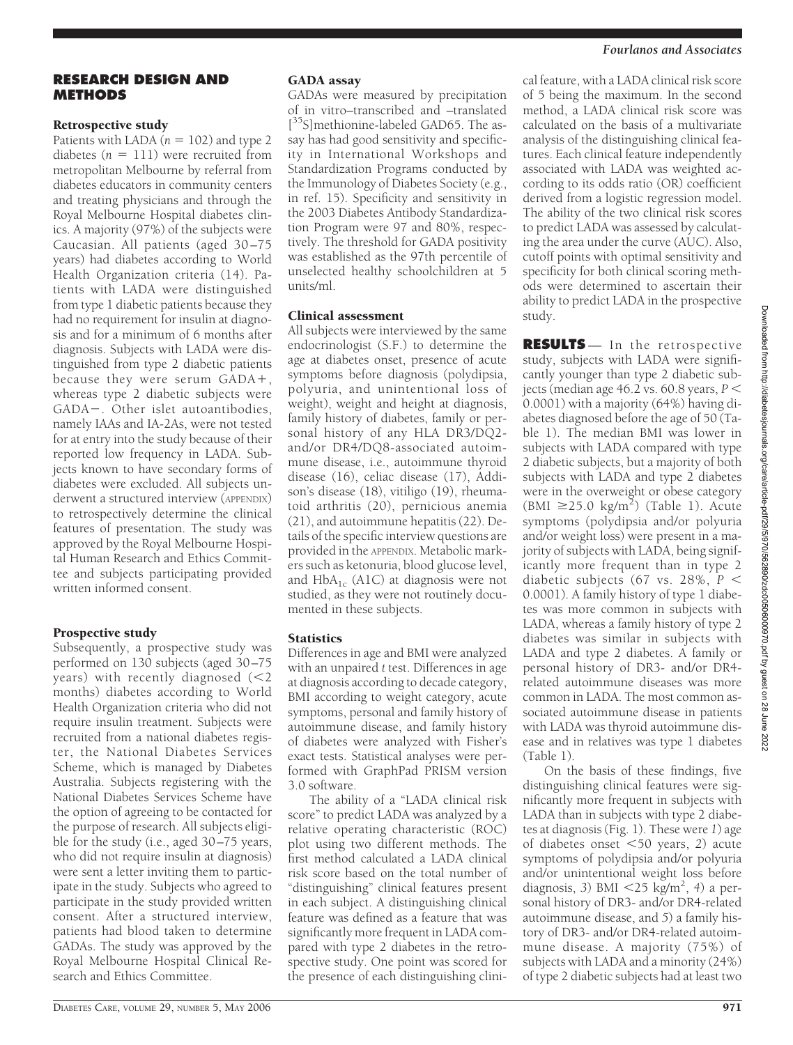#### *Fourlanos and Associates*

## **RESEARCH DESIGN AND METHODS**

## Retrospective study

Patients with LADA  $(n = 102)$  and type 2 diabetes  $(n = 111)$  were recruited from metropolitan Melbourne by referral from diabetes educators in community centers and treating physicians and through the Royal Melbourne Hospital diabetes clinics. A majority (97%) of the subjects were Caucasian. All patients (aged 30–75 years) had diabetes according to World Health Organization criteria (14). Patients with LADA were distinguished from type 1 diabetic patients because they had no requirement for insulin at diagnosis and for a minimum of 6 months after diagnosis. Subjects with LADA were distinguished from type 2 diabetic patients because they were serum GADA+, whereas type 2 diabetic subjects were GADA-. Other islet autoantibodies, namely IAAs and IA-2As, were not tested for at entry into the study because of their reported low frequency in LADA. Subjects known to have secondary forms of diabetes were excluded. All subjects underwent a structured interview (APPENDIX) to retrospectively determine the clinical features of presentation. The study was approved by the Royal Melbourne Hospital Human Research and Ethics Committee and subjects participating provided written informed consent.

# Prospective study

Subsequently, a prospective study was performed on 130 subjects (aged 30–75 years) with recently diagnosed  $\leq 2$ months) diabetes according to World Health Organization criteria who did not require insulin treatment. Subjects were recruited from a national diabetes register, the National Diabetes Services Scheme, which is managed by Diabetes Australia. Subjects registering with the National Diabetes Services Scheme have the option of agreeing to be contacted for the purpose of research. All subjects eligible for the study (i.e., aged 30–75 years, who did not require insulin at diagnosis) were sent a letter inviting them to participate in the study. Subjects who agreed to participate in the study provided written consent. After a structured interview, patients had blood taken to determine GADAs. The study was approved by the Royal Melbourne Hospital Clinical Research and Ethics Committee.

### GADA assay

GADAs were measured by precipitation of in vitro–transcribed and –translated [<sup>35</sup>S]methionine-labeled GAD65. The assay has had good sensitivity and specificity in International Workshops and Standardization Programs conducted by the Immunology of Diabetes Society (e.g., in ref. 15). Specificity and sensitivity in the 2003 Diabetes Antibody Standardization Program were 97 and 80%, respectively. The threshold for GADA positivity was established as the 97th percentile of unselected healthy schoolchildren at 5 units/ml.

## Clinical assessment

All subjects were interviewed by the same endocrinologist (S.F.) to determine the age at diabetes onset, presence of acute symptoms before diagnosis (polydipsia, polyuria, and unintentional loss of weight), weight and height at diagnosis, family history of diabetes, family or personal history of any HLA DR3/DQ2 and/or DR4/DQ8-associated autoimmune disease, i.e., autoimmune thyroid disease (16), celiac disease (17), Addison's disease (18), vitiligo (19), rheumatoid arthritis (20), pernicious anemia (21), and autoimmune hepatitis (22). Details of the specific interview questions are provided in the APPENDIX. Metabolic markers such as ketonuria, blood glucose level, and  $HbA_{1c}$  (A1C) at diagnosis were not studied, as they were not routinely documented in these subjects.

# **Statistics**

Differences in age and BMI were analyzed with an unpaired *t* test. Differences in age at diagnosis according to decade category, BMI according to weight category, acute symptoms, personal and family history of autoimmune disease, and family history of diabetes were analyzed with Fisher's exact tests. Statistical analyses were performed with GraphPad PRISM version 3.0 software.

The ability of a "LADA clinical risk score" to predict LADA was analyzed by a relative operating characteristic (ROC) plot using two different methods. The first method calculated a LADA clinical risk score based on the total number of "distinguishing" clinical features present in each subject. A distinguishing clinical feature was defined as a feature that was significantly more frequent in LADA compared with type 2 diabetes in the retrospective study. One point was scored for the presence of each distinguishing clinical feature, with a LADA clinical risk score of 5 being the maximum. In the second method, a LADA clinical risk score was calculated on the basis of a multivariate analysis of the distinguishing clinical features. Each clinical feature independently associated with LADA was weighted according to its odds ratio (OR) coefficient derived from a logistic regression model. The ability of the two clinical risk scores to predict LADA was assessed by calculating the area under the curve (AUC). Also, cutoff points with optimal sensitivity and specificity for both clinical scoring methods were determined to ascertain their ability to predict LADA in the prospective study.

**RESULTS** — In the retrospective study, subjects with LADA were significantly younger than type 2 diabetic subjects (median age  $46.2$  vs.  $60.8$  years,  $P \leq$ 0.0001) with a majority (64%) having diabetes diagnosed before the age of 50 (Table 1). The median BMI was lower in subjects with LADA compared with type 2 diabetic subjects, but a majority of both subjects with LADA and type 2 diabetes were in the overweight or obese category (BMI  $\geq$ 25.0 kg/m<sup>2</sup>) (Table 1). Acute symptoms (polydipsia and/or polyuria and/or weight loss) were present in a majority of subjects with LADA, being significantly more frequent than in type 2 diabetic subjects (67 vs. 28%,  $P$  < 0.0001). A family history of type 1 diabetes was more common in subjects with LADA, whereas a family history of type 2 diabetes was similar in subjects with LADA and type 2 diabetes. A family or personal history of DR3- and/or DR4 related autoimmune diseases was more common in LADA. The most common associated autoimmune disease in patients with LADA was thyroid autoimmune disease and in relatives was type 1 diabetes (Table 1).

On the basis of these findings, five distinguishing clinical features were significantly more frequent in subjects with LADA than in subjects with type 2 diabetes at diagnosis (Fig. 1). These were *1*) age of diabetes onset 50 years, *2*) acute symptoms of polydipsia and/or polyuria and/or unintentional weight loss before diagnosis, *3*) BMI 25 kg/m2 , *4*) a personal history of DR3- and/or DR4-related autoimmune disease, and *5*) a family history of DR3- and/or DR4-related autoimmune disease. A majority (75%) of subjects with LADA and a minority (24%) of type 2 diabetic subjects had at least two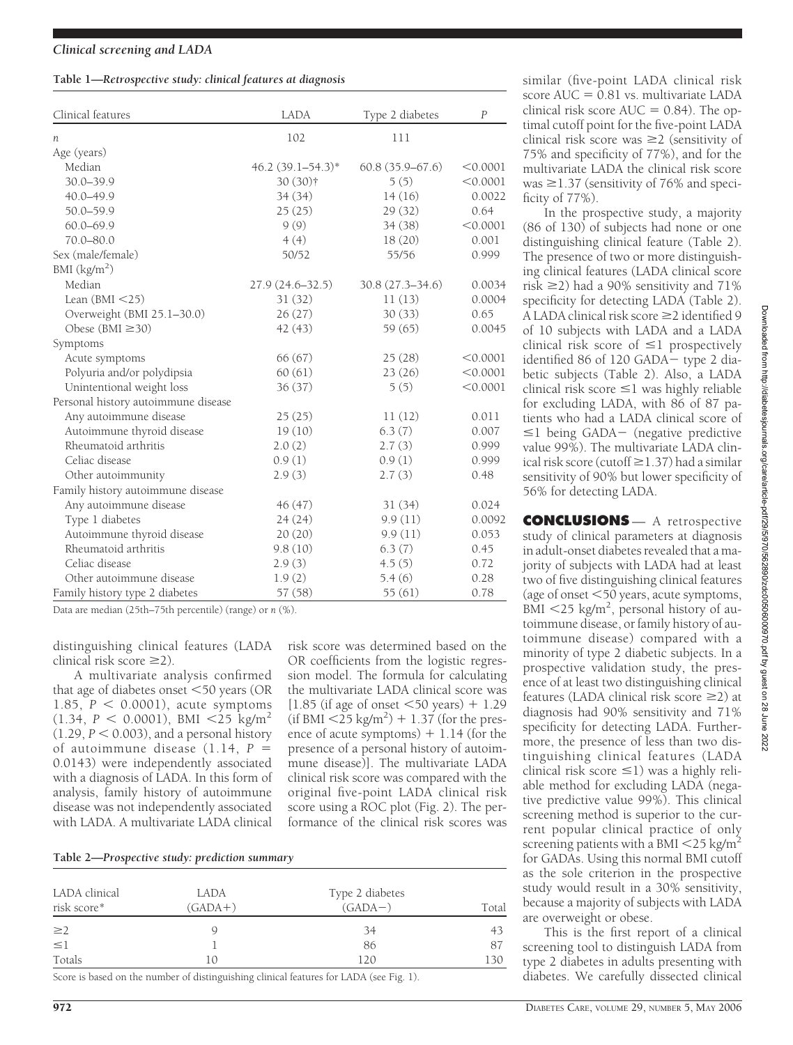#### **Table 1—***Retrospective study: clinical features at diagnosis*

| Clinical features                   | <b>LADA</b>            | Type 2 diabetes     | $\overline{P}$ |
|-------------------------------------|------------------------|---------------------|----------------|
| n                                   | 102                    | 111                 |                |
| Age (years)                         |                        |                     |                |
| Median                              | $46.2 (39.1 - 54.3)^*$ | $60.8(35.9 - 67.6)$ | < 0.0001       |
| $30.0 - 39.9$                       | 30 (30)†               | 5(5)                | < 0.0001       |
| 40.0-49.9                           | 34 (34)                | 14(16)              | 0.0022         |
| $50.0 - 59.9$                       | 25(25)                 | 29(32)              | 0.64           |
| $60.0 - 69.9$                       | 9(9)                   | 34(38)              | < 0.0001       |
| $70.0 - 80.0$                       | 4(4)                   | 18(20)              | 0.001          |
| Sex (male/female)                   | 50/52                  | 55/56               | 0.999          |
| BMI $(kg/m2)$                       |                        |                     |                |
| Median                              | 27.9 (24.6–32.5)       | 30.8 (27.3–34.6)    | 0.0034         |
| Lean $(BMI < 25)$                   | 31(32)                 | 11(13)              | 0.0004         |
| Overweight (BMI 25.1-30.0)          | 26(27)                 | 30(33)              | 0.65           |
| Obese (BMI $\geq$ 30)               | 42 (43)                | 59 (65)             | 0.0045         |
| Symptoms                            |                        |                     |                |
| Acute symptoms                      | 66(67)                 | 25(28)              | < 0.0001       |
| Polyuria and/or polydipsia          | 60(61)                 | 23(26)              | < 0.0001       |
| Unintentional weight loss           | 36(37)                 | 5(5)                | < 0.0001       |
| Personal history autoimmune disease |                        |                     |                |
| Any autoimmune disease              | 25(25)                 | 11(12)              | 0.011          |
| Autoimmune thyroid disease          | 19(10)                 | 6.3(7)              | 0.007          |
| Rheumatoid arthritis                | 2.0(2)                 | 2.7(3)              | 0.999          |
| Celiac disease                      | 0.9(1)                 | 0.9(1)              | 0.999          |
| Other autoimmunity                  | 2.9(3)                 | 2.7(3)              | 0.48           |
| Family history autoimmune disease   |                        |                     |                |
| Any autoimmune disease              | 46 (47)                | 31(34)              | 0.024          |
| Type 1 diabetes                     | 24(24)                 | 9.9(11)             | 0.0092         |
| Autoimmune thyroid disease          | 20(20)                 | 9.9(11)             | 0.053          |
| Rheumatoid arthritis                | 9.8(10)                | 6.3(7)              | 0.45           |
| Celiac disease                      | 2.9(3)                 | 4.5(5)              | 0.72           |
| Other autoimmune disease            | 1.9(2)                 | 5.4(6)              | 0.28           |
| Family history type 2 diabetes      | 57 (58)                | 55 (61)             | 0.78           |

Data are median (25th–75th percentile) (range) or *n* (%).

distinguishing clinical features (LADA clinical risk score  $\geq$ 2).

A multivariate analysis confirmed that age of diabetes onset  $<$  50 years (OR 1.85,  $P < 0.0001$ ), acute symptoms  $(1.34, P < 0.0001)$ , BMI  $\langle 25 \text{ kg/m}^2$  $(1.29, P \le 0.003)$ , and a personal history of autoimmune disease (1.14, *P* 0.0143) were independently associated with a diagnosis of LADA. In this form of analysis, family history of autoimmune disease was not independently associated with LADA. A multivariate LADA clinical

risk score was determined based on the OR coefficients from the logistic regression model. The formula for calculating the multivariate LADA clinical score was  $[1.85$  (if age of onset  $\leq 50$  years) + 1.29  $(i$ f BMI  $\langle 25 \text{ kg/m}^2 \rangle + 1.37$  (for the presence of acute symptoms)  $+1.14$  (for the presence of a personal history of autoimmune disease)]. The multivariate LADA clinical risk score was compared with the original five-point LADA clinical risk score using a ROC plot (Fig. 2). The performance of the clinical risk scores was

| Table 2-Prospective study: prediction summary |  |  |
|-----------------------------------------------|--|--|
|                                               |  |  |

| LADA clinical<br>risk score* | LADA<br>$(GADA+)$ | Type 2 diabetes<br>$(GADA-)$ | Total |
|------------------------------|-------------------|------------------------------|-------|
| $\geq$ 2                     | Q                 | 34                           | 43    |
| $\leq$ 1                     |                   | 86                           | 87    |
| Totals                       | 10                | 120                          | 130   |

Score is based on the number of distinguishing clinical features for LADA (see Fig. 1).

similar (five-point LADA clinical risk score  $AUC = 0.81$  vs. multivariate LADA clinical risk score  $AUC = 0.84$ ). The optimal cutoff point for the five-point LADA clinical risk score was  $\geq$  (sensitivity of 75% and specificity of 77%), and for the multivariate LADA the clinical risk score was  $\geq$ 1.37 (sensitivity of 76% and specificity of 77%).

In the prospective study, a majority (86 of 130) of subjects had none or one distinguishing clinical feature (Table 2). The presence of two or more distinguishing clinical features (LADA clinical score risk  $\geq$ 2) had a 90% sensitivity and 71% specificity for detecting LADA (Table 2).  $\overrightarrow{A}$  LADA clinical risk score  $\geq$  2 identified 9 of 10 subjects with LADA and a LADA clinical risk score of  $\leq$ 1 prospectively identified 86 of 120 GADA - type 2 diabetic subjects (Table 2). Also, a LADA clinical risk score  $\leq$ 1 was highly reliable for excluding LADA, with 86 of 87 patients who had a LADA clinical score of  $\leq$ 1 being GADA- (negative predictive value 99%). The multivariate LADA clinical risk score (cutoff  $\geq$  1.37) had a similar sensitivity of 90% but lower specificity of 56% for detecting LADA.

**CONCLUSIONS** — A retrospective study of clinical parameters at diagnosis in adult-onset diabetes revealed that a majority of subjects with LADA had at least two of five distinguishing clinical features (age of onset 50 years, acute symptoms,  $\text{BMI}$  <25 kg/m<sup>2</sup>, personal history of autoimmune disease, or family history of autoimmune disease) compared with a minority of type 2 diabetic subjects. In a prospective validation study, the presence of at least two distinguishing clinical features (LADA clinical risk score  $\geq$ 2) at diagnosis had 90% sensitivity and 71% specificity for detecting LADA. Furthermore, the presence of less than two distinguishing clinical features (LADA clinical risk score  $\leq$ 1) was a highly reliable method for excluding LADA (negative predictive value 99%). This clinical screening method is superior to the current popular clinical practice of only screening patients with a BMI  $\leq$ 25 kg/m<sup>2</sup> for GADAs. Using this normal BMI cutoff as the sole criterion in the prospective study would result in a 30% sensitivity, because a majority of subjects with LADA are overweight or obese.

This is the first report of a clinical screening tool to distinguish LADA from type 2 diabetes in adults presenting with diabetes. We carefully dissected clinical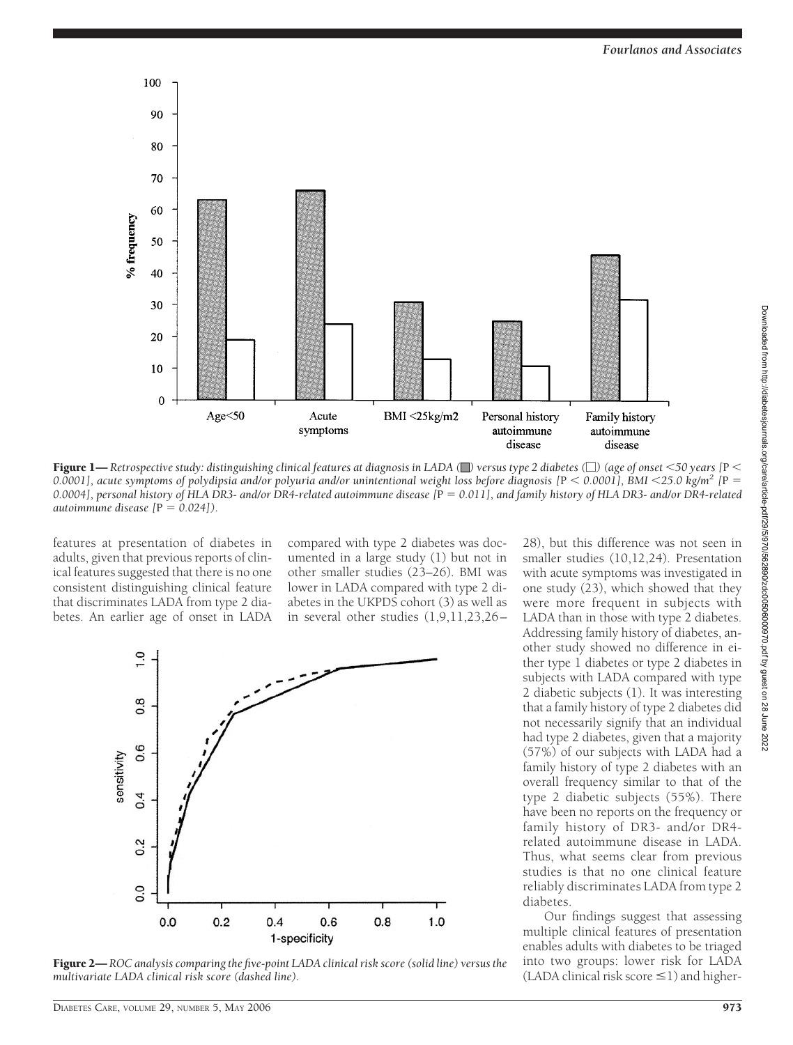

Figure 1— *Retrospective study: distinguishing clinical features at diagnosis in LADA ( ) versus type 2 diabetes (*-*) (age of onset 50 years [*P 0.0001], acute symptoms of polydipsia and/or polyuria and/or unintentional weight loss before diagnosis  $[P \lt 0.0001]$ , BMI $\lt 25.0$  kg/m<sup>2</sup>  $[P =$ *0.0004], personal history of HLA DR3- and/or DR4-related autoimmune disease [*P *0.011], and family history of HLA DR3- and/or DR4-related autoimmune disease*  $[P = 0.024]$ .

features at presentation of diabetes in adults, given that previous reports of clinical features suggested that there is no one consistent distinguishing clinical feature that discriminates LADA from type 2 diabetes. An earlier age of onset in LADA

compared with type 2 diabetes was documented in a large study (1) but not in other smaller studies (23–26). BMI was lower in LADA compared with type 2 diabetes in the UKPDS cohort (3) as well as in several other studies (1,9,11,23,26–



Figure 2— *ROC analysis comparing the five-point LADA clinical risk score (solid line) versus the multivariate LADA clinical risk score (dashed line).*

28), but this difference was not seen in smaller studies (10,12,24). Presentation with acute symptoms was investigated in one study (23), which showed that they were more frequent in subjects with LADA than in those with type 2 diabetes. Addressing family history of diabetes, another study showed no difference in either type 1 diabetes or type 2 diabetes in subjects with LADA compared with type 2 diabetic subjects (1). It was interesting that a family history of type 2 diabetes did not necessarily signify that an individual had type 2 diabetes, given that a majority (57%) of our subjects with LADA had a family history of type 2 diabetes with an overall frequency similar to that of the type 2 diabetic subjects (55%). There have been no reports on the frequency or family history of DR3- and/or DR4 related autoimmune disease in LADA. Thus, what seems clear from previous studies is that no one clinical feature reliably discriminates LADA from type 2 diabetes.

Our findings suggest that assessing multiple clinical features of presentation enables adults with diabetes to be triaged into two groups: lower risk for LADA  $(LADA$  clinical risk score  $\leq$ 1) and higher-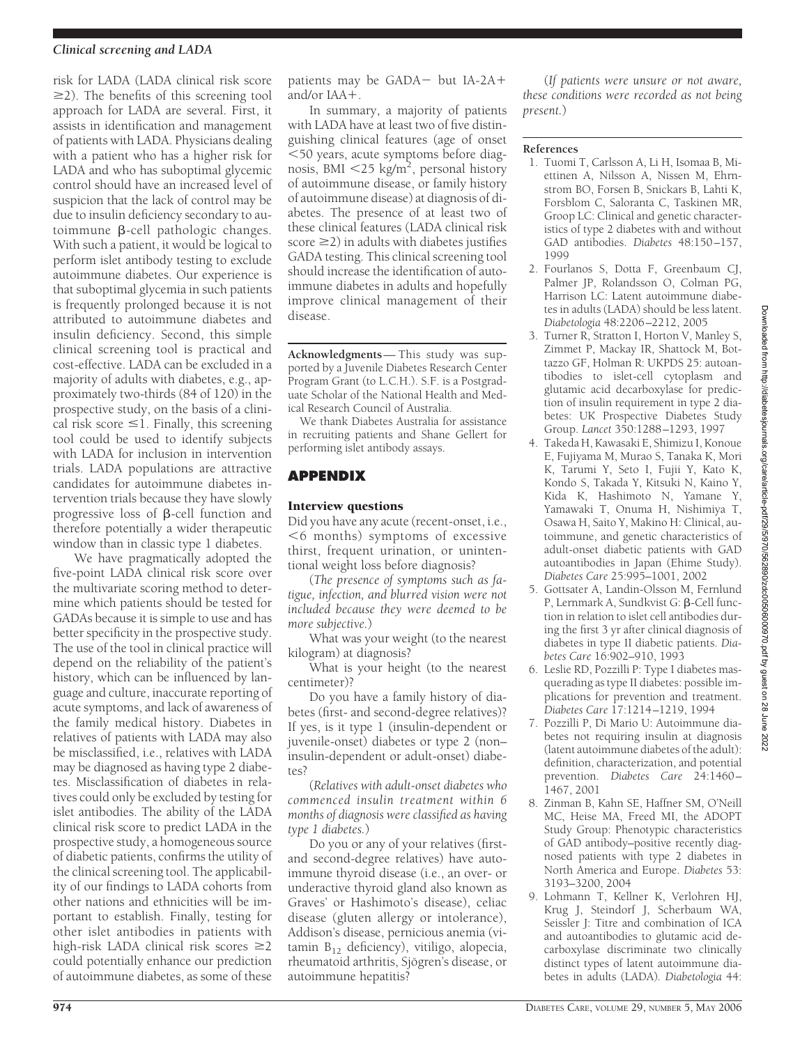#### *Clinical screening and LADA*

risk for LADA (LADA clinical risk score  $\geq$ 2). The benefits of this screening tool approach for LADA are several. First, it assists in identification and management of patients with LADA. Physicians dealing with a patient who has a higher risk for LADA and who has suboptimal glycemic control should have an increased level of suspicion that the lack of control may be due to insulin deficiency secondary to autoimmune  $\beta$ -cell pathologic changes. With such a patient, it would be logical to perform islet antibody testing to exclude autoimmune diabetes. Our experience is that suboptimal glycemia in such patients is frequently prolonged because it is not attributed to autoimmune diabetes and insulin deficiency. Second, this simple clinical screening tool is practical and cost-effective. LADA can be excluded in a majority of adults with diabetes, e.g., approximately two-thirds (84 of 120) in the prospective study, on the basis of a clinical risk score  $\leq$ 1. Finally, this screening tool could be used to identify subjects with LADA for inclusion in intervention trials. LADA populations are attractive candidates for autoimmune diabetes intervention trials because they have slowly progressive loss of  $\beta$ -cell function and therefore potentially a wider therapeutic window than in classic type 1 diabetes.

We have pragmatically adopted the five-point LADA clinical risk score over the multivariate scoring method to determine which patients should be tested for GADAs because it is simple to use and has better specificity in the prospective study. The use of the tool in clinical practice will depend on the reliability of the patient's history, which can be influenced by language and culture, inaccurate reporting of acute symptoms, and lack of awareness of the family medical history. Diabetes in relatives of patients with LADA may also be misclassified, i.e., relatives with LADA may be diagnosed as having type 2 diabetes. Misclassification of diabetes in relatives could only be excluded by testing for islet antibodies. The ability of the LADA clinical risk score to predict LADA in the prospective study, a homogeneous source of diabetic patients, confirms the utility of the clinical screening tool. The applicability of our findings to LADA cohorts from other nations and ethnicities will be important to establish. Finally, testing for other islet antibodies in patients with high-risk LADA clinical risk scores  $\geq$ 2 could potentially enhance our prediction of autoimmune diabetes, as some of these

patients may be GADA – but IA-2A+ and/or IAA-.

In summary, a majority of patients with LADA have at least two of five distinguishing clinical features (age of onset 50 years, acute symptoms before diagnosis, BMI <25 kg/m<sup>2</sup>, personal history of autoimmune disease, or family history of autoimmune disease) at diagnosis of diabetes. The presence of at least two of these clinical features (LADA clinical risk score  $\geq$ 2) in adults with diabetes justifies GADA testing. This clinical screening tool should increase the identification of autoimmune diabetes in adults and hopefully improve clinical management of their disease.

**Acknowledgments**— This study was supported by a Juvenile Diabetes Research Center Program Grant (to L.C.H.). S.F. is a Postgraduate Scholar of the National Health and Medical Research Council of Australia.

We thank Diabetes Australia for assistance in recruiting patients and Shane Gellert for performing islet antibody assays.

# **APPENDIX**

#### Interview questions

Did you have any acute (recent-onset, i.e.,  $6$  months) symptoms of excessive thirst, frequent urination, or unintentional weight loss before diagnosis?

(*The presence of symptoms such as fatigue, infection, and blurred vision were not included because they were deemed to be more subjective.*)

What was your weight (to the nearest kilogram) at diagnosis?

What is your height (to the nearest centimeter)?

Do you have a family history of diabetes (first- and second-degree relatives)? If yes, is it type 1 (insulin-dependent or juvenile-onset) diabetes or type 2 (non– insulin-dependent or adult-onset) diabetes?

(*Relatives with adult-onset diabetes who commenced insulin treatment within 6 months of diagnosis were classified as having type 1 diabetes.*)

Do you or any of your relatives (firstand second-degree relatives) have autoimmune thyroid disease (i.e., an over- or underactive thyroid gland also known as Graves' or Hashimoto's disease), celiac disease (gluten allergy or intolerance), Addison's disease, pernicious anemia (vitamin  $B_{12}$  deficiency), vitiligo, alopecia, rheumatoid arthritis, Sjögren's disease, or autoimmune hepatitis?

(*If patients were unsure or not aware, these conditions were recorded as not being present.*)

#### **References**

- 1. Tuomi T, Carlsson A, Li H, Isomaa B, Miettinen A, Nilsson A, Nissen M, Ehrnstrom BO, Forsen B, Snickars B, Lahti K, Forsblom C, Saloranta C, Taskinen MR, Groop LC: Clinical and genetic characteristics of type 2 diabetes with and without GAD antibodies. *Diabetes* 48:150–157, 1999
- 2. Fourlanos S, Dotta F, Greenbaum CJ, Palmer JP, Rolandsson O, Colman PG, Harrison LC: Latent autoimmune diabetes in adults (LADA) should be less latent. *Diabetologia* 48:2206–2212, 2005
- 3. Turner R, Stratton I, Horton V, Manley S, Zimmet P, Mackay IR, Shattock M, Bottazzo GF, Holman R: UKPDS 25: autoantibodies to islet-cell cytoplasm and glutamic acid decarboxylase for prediction of insulin requirement in type 2 diabetes: UK Prospective Diabetes Study Group. *Lancet* 350:1288–1293, 1997
- 4. Takeda H, Kawasaki E, Shimizu I, Konoue E, Fujiyama M, Murao S, Tanaka K, Mori K, Tarumi Y, Seto I, Fujii Y, Kato K, Kondo S, Takada Y, Kitsuki N, Kaino Y, Kida K, Hashimoto N, Yamane Y, Yamawaki T, Onuma H, Nishimiya T, Osawa H, Saito Y, Makino H: Clinical, autoimmune, and genetic characteristics of adult-onset diabetic patients with GAD autoantibodies in Japan (Ehime Study). *Diabetes Care* 25:995–1001, 2002
- 5. Gottsater A, Landin-Olsson M, Fernlund P, Lernmark A, Sundkvist G:  $\beta$ -Cell function in relation to islet cell antibodies during the first 3 yr after clinical diagnosis of diabetes in type II diabetic patients. *Diabetes Care* 16:902–910, 1993
- 6. Leslie RD, Pozzilli P: Type I diabetes masquerading as type II diabetes: possible implications for prevention and treatment. *Diabetes Care* 17:1214–1219, 1994
- 7. Pozzilli P, Di Mario U: Autoimmune diabetes not requiring insulin at diagnosis (latent autoimmune diabetes of the adult): definition, characterization, and potential prevention. *Diabetes Care* 24:1460– 1467, 2001
- 8. Zinman B, Kahn SE, Haffner SM, O'Neill MC, Heise MA, Freed MI, the ADOPT Study Group: Phenotypic characteristics of GAD antibody–positive recently diagnosed patients with type 2 diabetes in North America and Europe. *Diabetes* 53: 3193–3200, 2004
- 9. Lohmann T, Kellner K, Verlohren HJ, Krug J, Steindorf J, Scherbaum WA, Seissler J: Titre and combination of ICA and autoantibodies to glutamic acid decarboxylase discriminate two clinically distinct types of latent autoimmune diabetes in adults (LADA)*. Diabetologia* 44: